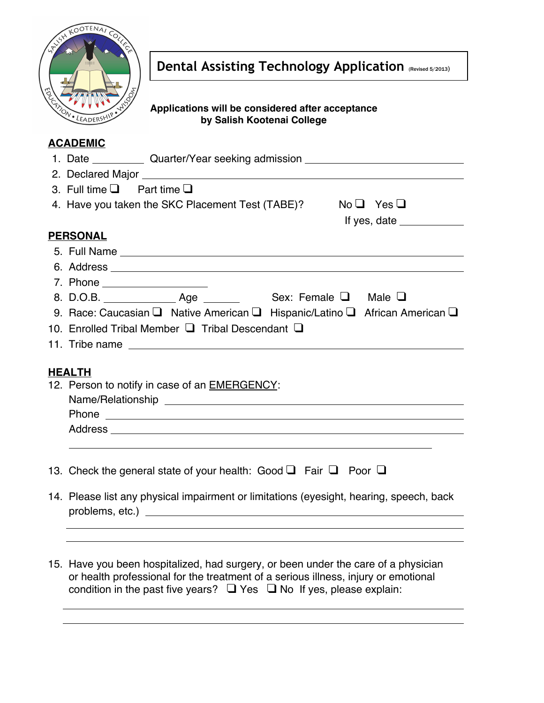

Dental Assisting Technology Application (Revised 5/2013)

# **Applications will be considered after acceptance by Salish Kootenai College**

# **ACADEMIC**

| AVAPLIIIV                                                                               |
|-----------------------------------------------------------------------------------------|
| 1. Date ____________ Quarter/Year seeking admission ____________________________        |
|                                                                                         |
| 3. Full time $\Box$ Part time $\Box$                                                    |
| 4. Have you taken the SKC Placement Test (TABE)? No $\Box$ Yes $\Box$                   |
| If yes, date $\_\_$                                                                     |
| <b>PERSONAL</b>                                                                         |
|                                                                                         |
|                                                                                         |
|                                                                                         |
| 8. D.O.B. ________________ Age ______________ Sex: Female Q Male Q                      |
| 9. Race: Caucasian Q Native American Q Hispanic/Latino Q African American Q             |
| 10. Enrolled Tribal Member $\Box$ Tribal Descendant $\Box$                              |
|                                                                                         |
|                                                                                         |
| <b>HEALTH</b>                                                                           |
| 12. Person to notify in case of an <b>EMERGENCY</b> :                                   |
|                                                                                         |
|                                                                                         |
|                                                                                         |
|                                                                                         |
|                                                                                         |
| 13. Check the general state of your health: Good $\Box$ Fair $\Box$ Poor $\Box$         |
| 14. Please list any physical impairment or limitations (eyesight, hearing, speech, back |
|                                                                                         |
|                                                                                         |
| 15. Have you been hospitalized, had surgery, or been under the care of a physician      |

15. Have you been hospitalized, had surgery, or been under the care of a physician or health professional for the treatment of a serious illness, injury or emotional condition in the past five years?  $\Box$  Yes  $\Box$  No If yes, please explain: